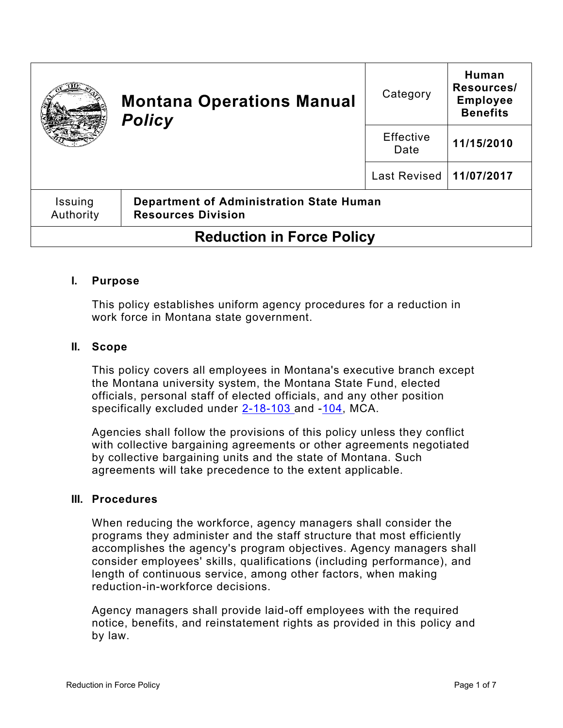|                                  | <b>Montana Operations Manual</b><br><b>Policy</b>                     | Category                  | Human<br>Resources/<br><b>Employee</b><br><b>Benefits</b> |
|----------------------------------|-----------------------------------------------------------------------|---------------------------|-----------------------------------------------------------|
|                                  |                                                                       | Effective<br>Date         | 11/15/2010                                                |
|                                  |                                                                       | Last Revised   11/07/2017 |                                                           |
| <b>Issuing</b><br>Authority      | Department of Administration State Human<br><b>Resources Division</b> |                           |                                                           |
| <b>Reduction in Force Policy</b> |                                                                       |                           |                                                           |

## **I. Purpose**

This policy establishes uniform agency procedures for a reduction in work force in Montana state government.

#### **II. Scope**

This policy covers all employees in Montana's executive branch except the Montana university system, the Montana State Fund, elected officials, personal staff of elected officials, and any other position specifically excluded under [2-18-103](http://leg.mt.gov/bills/mca/title_0020/chapter_0180/part_0010/section_0030/0020-0180-0010-0030.html) and [-104,](http://leg.mt.gov/bills/mca/title_0020/chapter_0180/part_0010/section_0040/0020-0180-0010-0040.html) MCA.

Agencies shall follow the provisions of this policy unless they conflict with collective bargaining agreements or other agreements negotiated by collective bargaining units and the state of Montana. Such agreements will take precedence to the extent applicable.

### **III. Procedures**

When reducing the workforce, agency managers shall consider the programs they administer and the staff structure that most efficiently accomplishes the agency's program objectives. Agency managers shall consider employees' skills, qualifications (including performance), and length of continuous service, among other factors, when making reduction-in-workforce decisions.

Agency managers shall provide laid-off employees with the required notice, benefits, and reinstatement rights as provided in this policy and by law.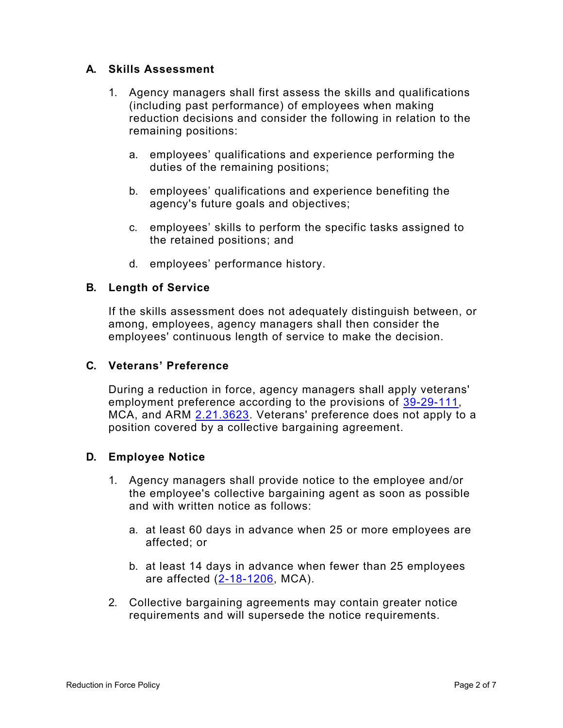## **A. Skills Assessment**

- 1. Agency managers shall first assess the skills and qualifications (including past performance) of employees when making reduction decisions and consider the following in relation to the remaining positions:
	- a. employees' qualifications and experience performing the duties of the remaining positions;
	- b. employees' qualifications and experience benefiting the agency's future goals and objectives;
	- c. employees' skills to perform the specific tasks assigned to the retained positions; and
	- d. employees' performance history.

# **B. Length of Service**

If the skills assessment does not adequately distinguish between, or among, employees, agency managers shall then consider the employees' continuous length of service to make the decision.

## **C. Veterans' Preference**

During a reduction in force, agency managers shall apply veterans' employment preference according to the provisions of [39-29-111,](http://leg.mt.gov/bills/mca/title_0390/chapter_0290/part_0010/section_0110/0390-0290-0010-0110.html) MCA, and ARM [2.21.3623.](http://www.mtrules.org/gateway/ruleno.asp?RN=2%2E21%2E3623) Veterans' preference does not apply to a position covered by a collective bargaining agreement.

## **D. Employee Notice**

- 1. Agency managers shall provide notice to the employee and/or the employee's collective bargaining agent as soon as possible and with written notice as follows:
	- a. at least 60 days in advance when 25 or more employees are affected; or
	- b. at least 14 days in advance when fewer than 25 employees are affected [\(2-18-1206,](http://leg.mt.gov/bills/mca/title_0020/chapter_0180/part_0120/section_0060/0020-0180-0120-0060.html) MCA).
- 2. Collective bargaining agreements may contain greater notice requirements and will supersede the notice requirements.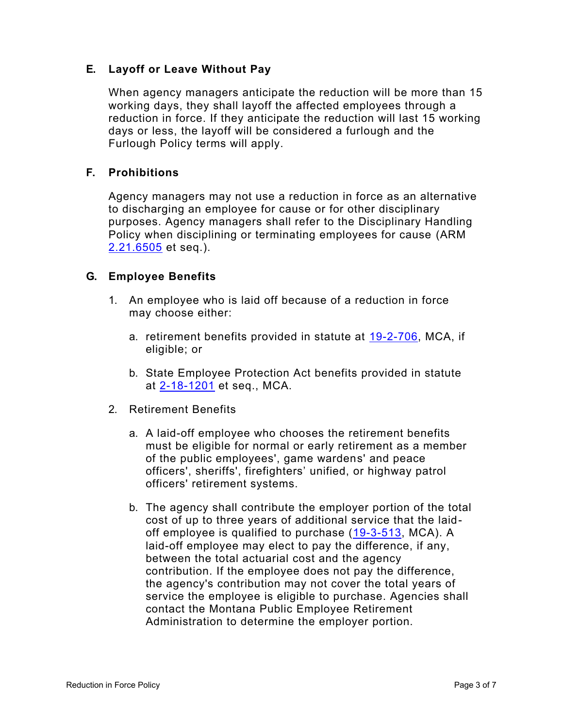# **E. Layoff or Leave Without Pay**

When agency managers anticipate the reduction will be more than 15 working days, they shall layoff the affected employees through a reduction in force. If they anticipate the reduction will last 15 working days or less, the layoff will be considered a furlough and the Furlough Policy terms will apply.

## **F. Prohibitions**

Agency managers may not use a reduction in force as an alternative to discharging an employee for cause or for other disciplinary purposes. Agency managers shall refer to the Disciplinary Handling Policy when disciplining or terminating employees for cause (ARM [2.21.6505](http://www.mtrules.org/gateway/ruleno.asp?RN=2.21.6505) et seq.).

## **G. Employee Benefits**

- 1. An employee who is laid off because of a reduction in force may choose either:
	- a. retirement benefits provided in statute at [19-2-706,](http://leg.mt.gov/bills/mca/title_0190/chapter_0020/part_0070/section_0060/0190-0020-0070-0060.html) MCA, if eligible; or
	- b. State Employee Protection Act benefits provided in statute at [2-18-1201](http://leg.mt.gov/bills/mca/title_0020/chapter_0180/part_0120/section_0010/0020-0180-0120-0010.html) et seq., MCA.
- 2. Retirement Benefits
	- a. A laid-off employee who chooses the retirement benefits must be eligible for normal or early retirement as a member of the public employees', game wardens' and peace officers', sheriffs', firefighters' unified, or highway patrol officers' retirement systems.
	- b. The agency shall contribute the employer portion of the total cost of up to three years of additional service that the laid-off employee is qualified to purchase [\(19-3-513,](http://leg.mt.gov/bills/mca/title_0190/chapter_0030/part_0050/section_0130/0190-0030-0050-0130.html) MCA). A laid-off employee may elect to pay the difference, if any, between the total actuarial cost and the agency contribution. If the employee does not pay the difference, the agency's contribution may not cover the total years of service the employee is eligible to purchase. Agencies shall contact the Montana Public Employee Retirement Administration to determine the employer portion.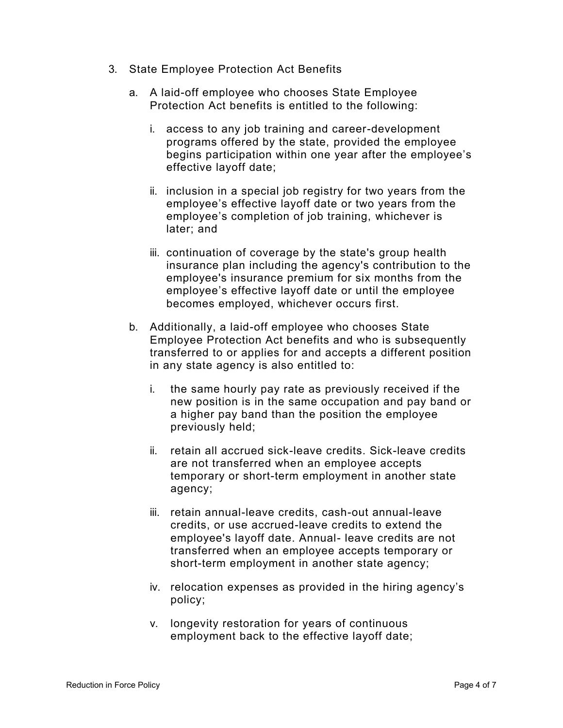- 3. State Employee Protection Act Benefits
	- a. A laid-off employee who chooses State Employee Protection Act benefits is entitled to the following:
		- i. access to any job training and career-development programs offered by the state, provided the employee begins participation within one year after the employee's effective layoff date;
		- ii. inclusion in a special job registry for two years from the employee's effective layoff date or two years from the employee's completion of job training, whichever is later; and
		- iii. continuation of coverage by the state's group health insurance plan including the agency's contribution to the employee's insurance premium for six months from the employee's effective layoff date or until the employee becomes employed, whichever occurs first.
	- b. Additionally, a laid-off employee who chooses State Employee Protection Act benefits and who is subsequently transferred to or applies for and accepts a different position in any state agency is also entitled to:
		- i. the same hourly pay rate as previously received if the new position is in the same occupation and pay band or a higher pay band than the position the employee previously held;
		- ii. retain all accrued sick-leave credits. Sick-leave credits are not transferred when an employee accepts temporary or short-term employment in another state agency;
		- iii. retain annual-leave credits, cash-out annual-leave credits, or use accrued-leave credits to extend the employee's layoff date. Annual- leave credits are not transferred when an employee accepts temporary or short-term employment in another state agency;
		- iv. relocation expenses as provided in the hiring agency's policy;
		- v. longevity restoration for years of continuous employment back to the effective layoff date;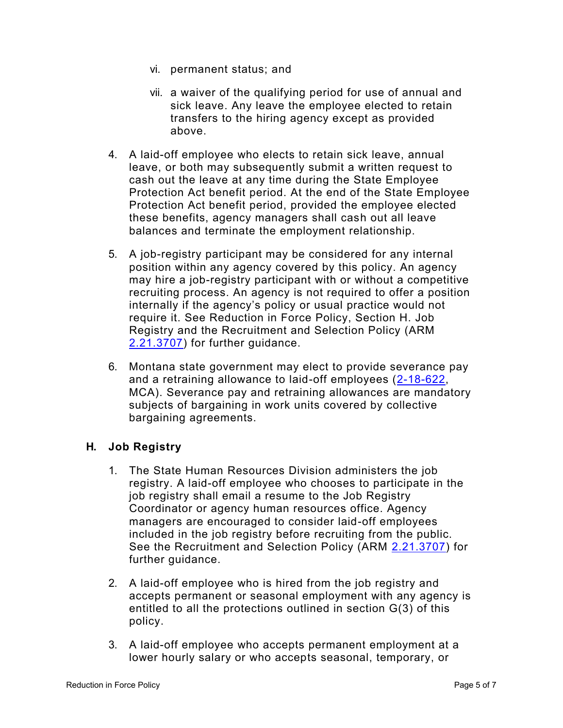- vi. permanent status; and
- vii. a waiver of the qualifying period for use of annual and sick leave. Any leave the employee elected to retain transfers to the hiring agency except as provided above.
- 4. A laid-off employee who elects to retain sick leave, annual leave, or both may subsequently submit a written request to cash out the leave at any time during the State Employee Protection Act benefit period. At the end of the State Employee Protection Act benefit period, provided the employee elected these benefits, agency managers shall cash out all leave balances and terminate the employment relationship.
- 5. A job-registry participant may be considered for any internal position within any agency covered by this policy. An agency may hire a job-registry participant with or without a competitive recruiting process. An agency is not required to offer a position internally if the agency's policy or usual practice would not require it. See Reduction in Force Policy, Section H. Job Registry and the Recruitment and Selection Policy (ARM [2.21.3707\)](http://www.mtrules.org/gateway/ruleno.asp?RN=2%2E21%2E3707) for further guidance.
- 6. Montana state government may elect to provide severance pay and a retraining allowance to laid-off employees [\(2-18-622,](http://leg.mt.gov/bills/mca/title_0020/chapter_0180/part_0060/section_0220/0020-0180-0060-0220.html) MCA). Severance pay and retraining allowances are mandatory subjects of bargaining in work units covered by collective bargaining agreements.

## **H. Job Registry**

- 1. The State Human Resources Division administers the job registry. A laid-off employee who chooses to participate in the job registry shall email a resume to the Job Registry Coordinator or agency human resources office. Agency managers are encouraged to consider laid-off employees included in the job registry before recruiting from the public. See the Recruitment and Selection Policy (ARM [2.21.3707\)](http://www.mtrules.org/gateway/ruleno.asp?RN=2%2E21%2E3707) for further guidance.
- 2. A laid-off employee who is hired from the job registry and accepts permanent or seasonal employment with any agency is entitled to all the protections outlined in section G(3) of this policy.
- 3. A laid-off employee who accepts permanent employment at a lower hourly salary or who accepts seasonal, temporary, or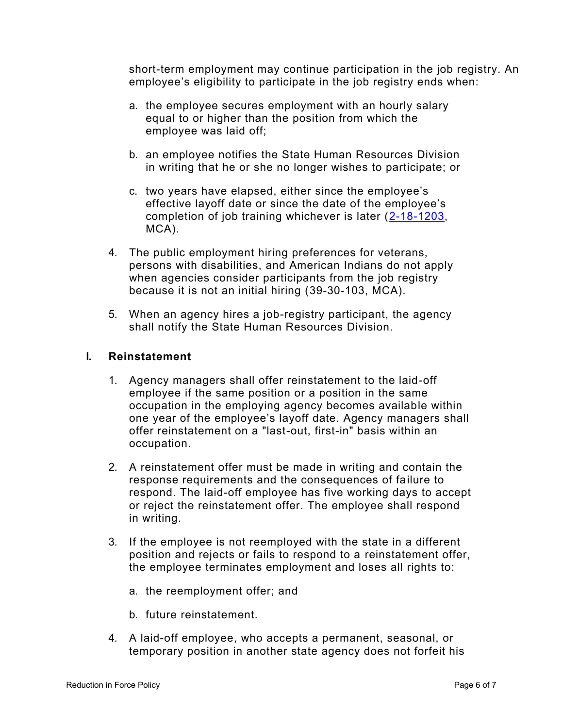short-term employment may continue participation in the job registry. An employee's eligibility to participate in the job registry ends when:

- a. the employee secures employment with an hourly salary equal to or higher than the position from which the employee was laid off;
- b. an employee notifies the State Human Resources Division in writing that he or she no longer wishes to participate; or
- c. two years have elapsed, either since the employee's effective layoff date or since the date of the employee's completion of job training whichever is later [\(2-18-1203,](http://leg.mt.gov/bills/mca/title_0020/chapter_0180/part_0120/section_0030/0020-0180-0120-0030.html) MCA).
- 4. The public employment hiring preferences for veterans, persons with disabilities, and American Indians do not apply when agencies consider participants from the job registry because it is not an initial hiring [\(39-30-103,](http://leg.mt.gov/bills/mca/title_0390/chapter_0300/part_0010/section_0030/0390-0300-0010-0030.html) MCA).
- 5. When an agency hires a job-registry participant, the agency shall notify the State Human Resources Division.

### **I. Reinstatement**

- 1. Agency managers shall offer reinstatement to the laid-off employee if the same position or a position in the same occupation in the employing agency becomes available within one year of the employee's layoff date. Agency managers shall offer reinstatement on a "last-out, first-in" basis within an occupation.
- 2. A reinstatement offer must be made in writing and contain the response requirements and the consequences of failure to respond. The laid-off employee has five working days to accept or reject the reinstatement offer. The employee shall respond in writing.
- 3. If the employee is not reemployed with the state in a different position and rejects or fails to respond to a reinstatement offer, the employee terminates employment and loses all rights to:
	- a. the reemployment offer; and
	- b. future reinstatement.
- 4. A laid-off employee, who accepts a permanent, seasonal, or temporary position in another state agency does not forfeit his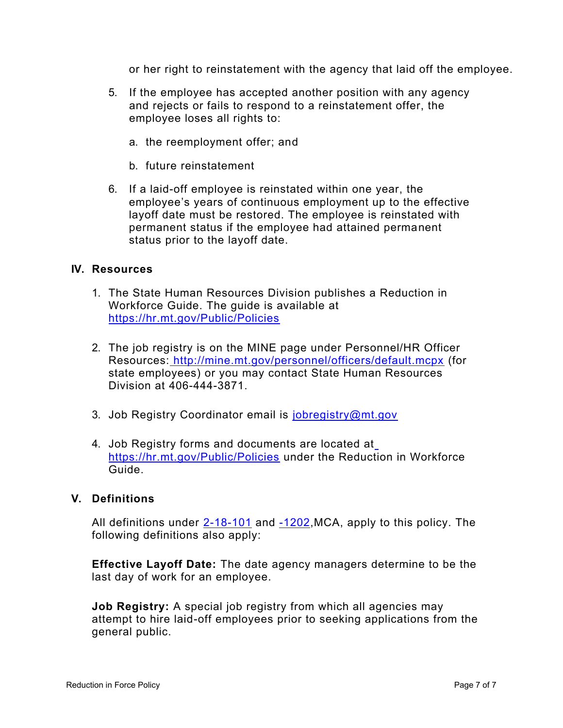or her right to reinstatement with the agency that laid off the employee.

- 5. If the employee has accepted another position with any agency and rejects or fails to respond to a reinstatement offer, the employee loses all rights to:
	- a. the reemployment offer; and
	- b. future reinstatement
- 6. If a laid-off employee is reinstated within one year, the employee's years of continuous employment up to the effective layoff date must be restored. The employee is reinstated with permanent status if the employee had attained permanent status prior to the layoff date.

## **IV. Resources**

- 1. The State Human Resources Division publishes a Reduction in Workforce Guide. The guide is available at <https://hr.mt.gov/Public/Policies>
- 2. The job registry is on the MINE page under Personnel/HR Officer Resources: <http://mine.mt.gov/personnel/officers/default.mcpx> (for state employees) or you may contact State Human Resources Division at 406-444-3871.
- 3. Job Registry Coordinator email is [jobregistry@mt.gov](mailto:jobregistry@mt.gov)
- 4. Job Registry forms and documents are located a[t](http://hr.mt.gov/newresources/default.mcpx) <https://hr.mt.gov/Public/Policies> under the Reduction in Workforce Guide.

## **V. Definitions**

All definitions under [2-18-101](http://leg.mt.gov/bills/mca/title_0020/chapter_0180/part_0010/section_0010/0020-0180-0010-0010.html) and [-1202,](http://leg.mt.gov/bills/mca/title_0020/chapter_0180/part_0120/section_0020/0020-0180-0120-0020.html)MCA, apply to this policy. The following definitions also apply:

**Effective Layoff Date:** The date agency managers determine to be the last day of work for an employee.

**Job Registry:** A special job registry from which all agencies may attempt to hire laid-off employees prior to seeking applications from the general public.